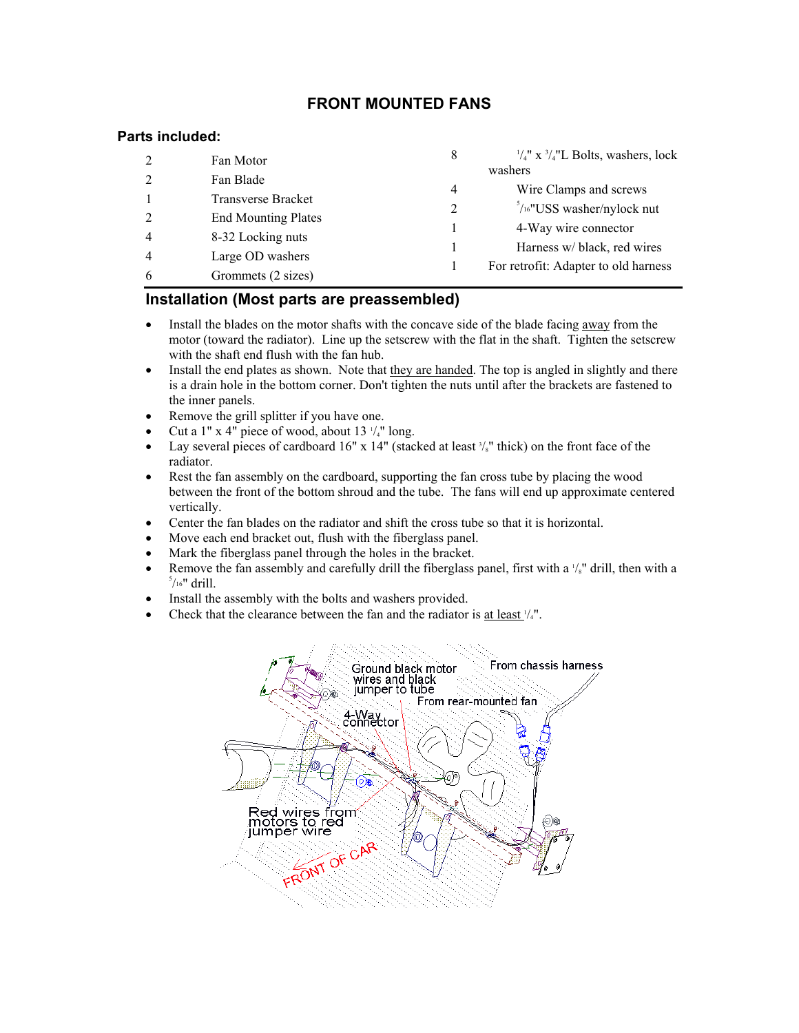# **FRONT MOUNTED FANS**

## **Parts included:**

|   | Fan Motor                  | 8       | $\frac{1}{4}$ " x $\frac{3}{4}$ "L Bolts, washers, lock |  |
|---|----------------------------|---------|---------------------------------------------------------|--|
|   | Fan Blade                  | washers |                                                         |  |
|   | Transverse Bracket         | 4       | Wire Clamps and screws                                  |  |
|   |                            | 2       | $\frac{5}{16}$ "USS washer/nylock nut                   |  |
|   | <b>End Mounting Plates</b> |         | 4-Way wire connector                                    |  |
| 4 | 8-32 Locking nuts          |         | Harness w/ black, red wires                             |  |
|   | Large OD washers           |         | For retrofit: Adapter to old harness                    |  |
| 6 | Grommets (2 sizes)         |         |                                                         |  |

## **Installation (Most parts are preassembled)**

- Install the blades on the motor shafts with the concave side of the blade facing away from the motor (toward the radiator). Line up the setscrew with the flat in the shaft. Tighten the setscrew with the shaft end flush with the fan hub.
- Install the end plates as shown. Note that they are handed. The top is angled in slightly and there is a drain hole in the bottom corner. Don't tighten the nuts until after the brackets are fastened to the inner panels.
- Remove the grill splitter if you have one.
- Cut a 1" x 4" piece of wood, about 13 $\frac{1}{4}$ " long.
- Lay several pieces of cardboard 16" x 14" (stacked at least  $\frac{3}{s}$ " thick) on the front face of the radiator.
- Rest the fan assembly on the cardboard, supporting the fan cross tube by placing the wood between the front of the bottom shroud and the tube. The fans will end up approximate centered vertically.
- Center the fan blades on the radiator and shift the cross tube so that it is horizontal.
- Move each end bracket out, flush with the fiberglass panel.
- Mark the fiberglass panel through the holes in the bracket.
- Remove the fan assembly and carefully drill the fiberglass panel, first with a  $\frac{1}{8}$ " drill, then with a  $\frac{5}{8}$  $\frac{5}{16}$ " drill.
- Install the assembly with the bolts and washers provided.
- Check that the clearance between the fan and the radiator is at least  $\frac{1}{4}$ ".